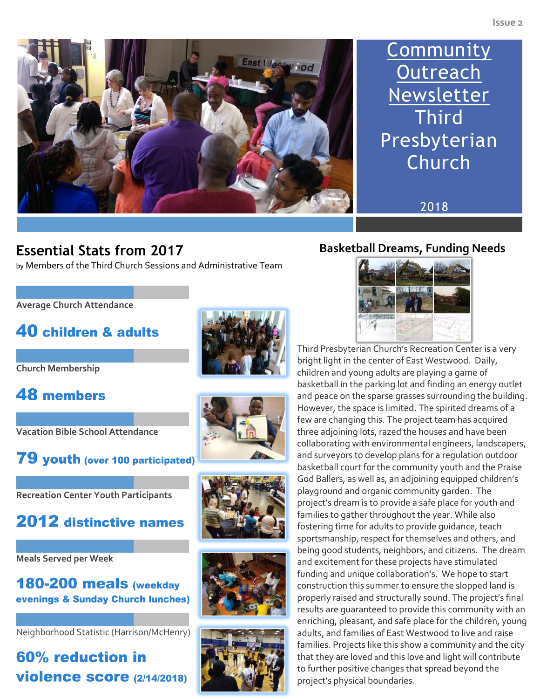

# **Community Outreach Newsletter Third** Presbyterian Church

2018

### **Essential Stats from 2017**  by Members of the Third Church Sessions and Administrative Team

**Average Church Attendance** 

## 40 children & adults





## **48 members**

**Vacation Bible School Attendance**



**Recreation Center Youth Participants**

## 2012 distinctive names

**Meals Served per Week**

180-200 meals (weekday evenings & Sunday Church lunches)

Neighborhood Statistic (Harrison/McHenry)

## 60% reduction in **violence score (2/14/2018)**









### **Basketball Dreams, Funding Needs**



Third Presbyterian Church's Recreation Center is a very bright light in the center of East Westwood. Daily, children and young adults are playing a game of basketball in the parking lot and finding an energy outlet and peace on the sparse grasses surrounding the building. However, the space is limited. The spirited dreams of a few are changing this. The project team has acquired three adjoining lots, razed the houses and have been collaborating with environmental engineers, landscapers, and surveyors to develop plans for a regulation outdoor basketball court for the community youth and the Praise God Ballers, as well as, an adjoining equipped children's playground and organic community garden. The project's dream is to provide a safe place for youth and families to gather throughout the year. While also fostering time for adults to provide guidance, teach sportsmanship, respect for themselves and others, and being good students, neighbors, and citizens. The dream and excitement for these projects have stimulated funding and unique collaboration's. We hope to start construction this summer to ensure the slopped land is properly raised and structurally sound. The project's final results are guaranteed to provide this community with an enriching, pleasant, and safe place for the children, young adults, and families of East Westwood to live and raise families. Projects like this show a community and the city that they are loved and this love and light will contribute to further positive changes that spread beyond the project's physical boundaries.